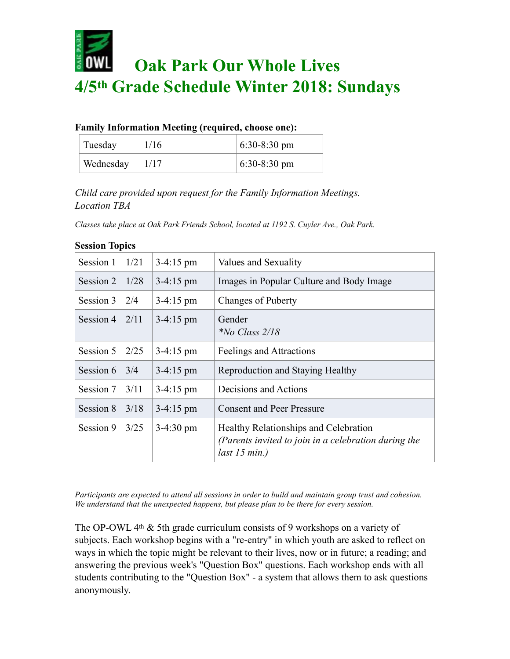

|  |  | <b>Family Information Meeting (required, choose one):</b> |
|--|--|-----------------------------------------------------------|
|  |  |                                                           |

| Tuesday   | 1/16 | $6:30-8:30 \text{ pm}$ |
|-----------|------|------------------------|
| Wednesday | 1/17 | $6:30-8:30 \text{ pm}$ |

*Child care provided upon request for the Family Information Meetings. Location TBA*

*Classes take place at Oak Park Friends School, located at 1192 S. Cuyler Ave., Oak Park.* 

| Session 1 | 1/21 | $3-4:15 \text{ pm}$ | Values and Sexuality                                                                                              |
|-----------|------|---------------------|-------------------------------------------------------------------------------------------------------------------|
| Session 2 | 1/28 | 3-4:15 pm           | Images in Popular Culture and Body Image                                                                          |
| Session 3 | 2/4  | $3-4:15 \text{ pm}$ | Changes of Puberty                                                                                                |
| Session 4 | 2/11 | $3-4:15$ pm         | Gender<br><i>*No Class <math>2/18</math></i>                                                                      |
| Session 5 | 2/25 | $3-4:15 \text{ pm}$ | Feelings and Attractions                                                                                          |
| Session 6 | 3/4  | $3-4:15$ pm         | Reproduction and Staying Healthy                                                                                  |
| Session 7 | 3/11 | $3-4:15 \text{ pm}$ | Decisions and Actions                                                                                             |
| Session 8 | 3/18 | $3-4:15 \text{ pm}$ | <b>Consent and Peer Pressure</b>                                                                                  |
| Session 9 | 3/25 | $3-4:30 \text{ pm}$ | Healthy Relationships and Celebration<br>(Parents invited to join in a celebration during the<br>$last 15 min.$ ) |

## **Session Topics**

*Participants are expected to attend all sessions in order to build and maintain group trust and cohesion. We understand that the unexpected happens, but please plan to be there for every session.* 

The OP-OWL 4th & 5th grade curriculum consists of 9 workshops on a variety of subjects. Each workshop begins with a "re-entry" in which youth are asked to reflect on ways in which the topic might be relevant to their lives, now or in future; a reading; and answering the previous week's "Question Box" questions. Each workshop ends with all students contributing to the "Question Box" - a system that allows them to ask questions anonymously.